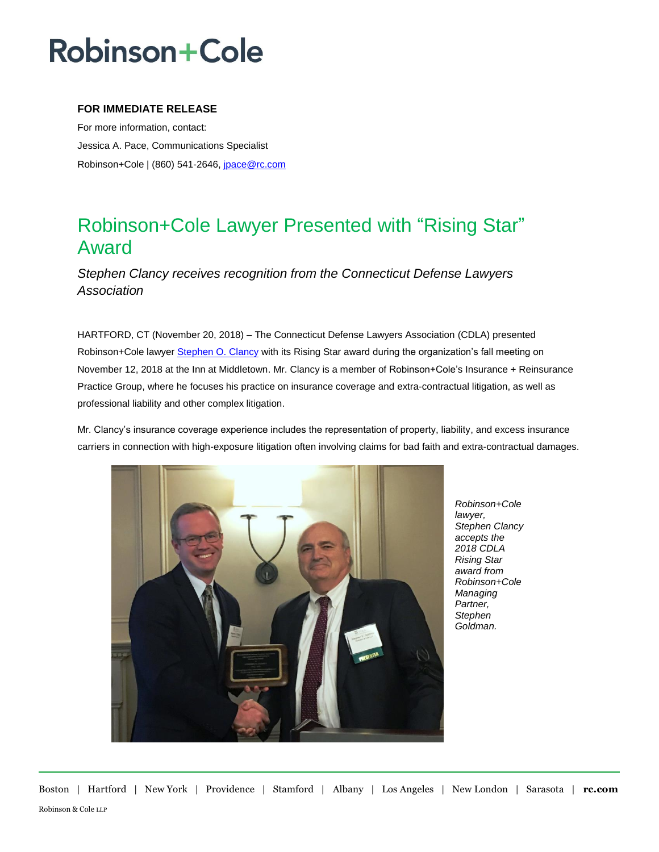# **Robinson+Cole**

### **FOR IMMEDIATE RELEASE**

For more information, contact: Jessica A. Pace, Communications Specialist Robinson+Cole | (860) 541-2646[, jpace@rc.com](mailto:jpace@rc.com)

### Robinson+Cole Lawyer Presented with "Rising Star" Award

*Stephen Clancy receives recognition from the Connecticut Defense Lawyers Association*

HARTFORD, CT (November 20, 2018) – The Connecticut Defense Lawyers Association (CDLA) presented Robinson+Cole lawyer [Stephen O. Clancy](http://www.rc.com/people/StephenOClancy.cfm) with its Rising Star award during the organization's fall meeting on November 12, 2018 at the Inn at Middletown. Mr. Clancy is a member of Robinson+Cole's Insurance + Reinsurance Practice Group, where he focuses his practice on insurance coverage and extra-contractual litigation, as well as professional liability and other complex litigation.

Mr. Clancy's insurance coverage experience includes the representation of property, liability, and excess insurance carriers in connection with high-exposure litigation often involving claims for bad faith and extra-contractual damages.



*Robinson+Cole lawyer, Stephen Clancy accepts the 2018 CDLA Rising Star award from Robinson+Cole Managing Partner, Stephen Goldman.*

Boston | Hartford | New York | Providence | Stamford | Albany | Los Angeles | New London | Sarasota | **rc.com** Robinson & Cole LLP